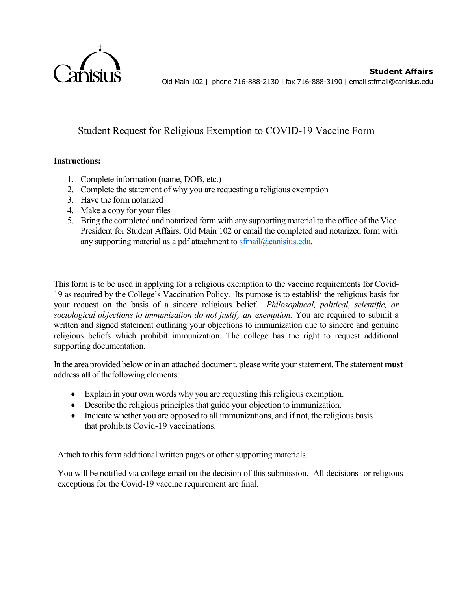

**Student Affairs** Old Main 102 | phone 716-888-2130 | fax 716-888-3190 | email stfmail@canisius.edu

## Student Request for Religious Exemption to COVID-19 Vaccine Form

## **Instructions:**

- 1. Complete information (name, DOB, etc.)
- 2. Complete the statement of why you are requesting a religious exemption
- 3. Have the form notarized
- 4. Make a copy for your files
- 5. Bring the completed and notarized form with any supporting material to the office of the Vice President for Student Affairs, Old Main 102 or email the completed and notarized form with any supporting material as a pdf attachment to [sfmail@canisius.edu.](mailto:sfmail@canisius.edu)

This form is to be used in applying for a religious exemption to the vaccine requirements for Covid-19 as required by the College's Vaccination Policy. Its purpose is to establish the religious basis for your request on the basis of a sincere religious belief. *Philosophical, political, scientific, or sociological objections to immunization do not justify an exemption.* You are required to submit a written and signed statement outlining your objections to immunization due to sincere and genuine religious beliefs which prohibit immunization. The college has the right to request additional supporting documentation.

In the area provided below or in an attached document, please write yourstatement.The statement **must** address **all** of thefollowing elements:

- Explain in your own words why you are requesting this religious exemption.
- Describe the religious principles that guide your objection to immunization.
- Indicate whether you are opposed to all immunizations, and if not, the religious basis that prohibits Covid-19 vaccinations.

Attach to this form additional written pages or other supporting materials.

You will be notified via college email on the decision of this submission. All decisions for religious exceptions for the Covid-19 vaccine requirement are final.